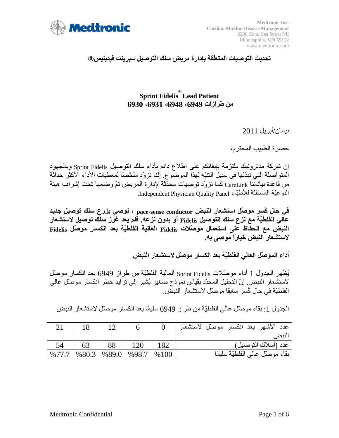

**تحديث التوصيات المتعلّقة بإدارة مريض سلك التوصيل سبرينت فيديليسR**

# **Sprint Fidelis ® Lead Patient من طرازات ،6949 ،6948 ،6931 6930**

نيسان /أبريل 2011

حضرة الطبيب المحترم،

إن شركة مدترونيك ملتزمة بإبقائكم على اطّلاع دائم بأداء سلك التوصيل Sprint Fidelis وبالجهود المتواصلة التي نبذلها في سبيل التنبّه لهذا الموضوع. إنّنا نزوّد ملخّصًا لمعطيات الأداء الأآثر حداثة من قاعدة بياناتنا CareLink آما نزوّد توصيات محدّثة لإدارة المريض تمّ وضعها تحت إشراف هيئة النوعيّة المستقلّة للأطبّاء Panel Quality Physician Independent.

**في حال آُسِر موصّل استشعار النبض conductor sense-pace ، نوصي بزرع سلك توصيل جديد عالي الفلطيّة مع نزع سلك التوصيل Fidelis أو بدون نزعه. فلم يعد غرز سلك توصيل لاستشعار النبض مع الحفاظ على استعمال موصّلات Fidelis العالية الفلطيّة بعد انكسار موصّل Fidelis لاستشعار النبض خيارًا موصى به.** 

**أداء الموصّل العالي الفلطيّة بعد انكسار موصّل لاستشعار النبض** 

يُظهر الجدول 1 أداء موصّلات Fidelis Sprint العالية الفلطيّة من طراز 6949 بعد انكسار موصّل لاستشعار النبض. إنّ التحليل المحدّد بقياس نموذج صغير يُشير إلى تزايد خطر انكسار موصّل عالي الفلطيّة في حال آُسر سابقًا موصّل لاستشعار النبض.

الجدول 1: بقاء موصّل عالي الفلطيّة من طر از 6949 سليمًا بعد انكسار موصلّل لاستشعار النبض

|       |       |    |                      | عدد الأشهر بعد انكسار موصّل لاستشعار |
|-------|-------|----|----------------------|--------------------------------------|
|       |       |    |                      | النبضر                               |
|       |       | 88 | 120                  | عدد (أسلاك التوصيل)                  |
| %77.7 | %80.3 |    | %89.0   %98.7   %100 | بقاء موصلٌ عالمي الفلطيّة سليمًا     |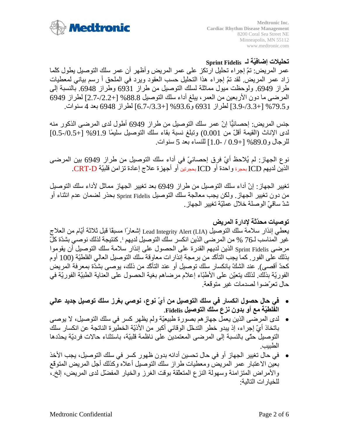

## **تحليلات إضافيّة لـ Fidelis Sprint**

عمر المريض: تمّ إجراء تحليل ارتكز على عمر المريض وأظهر أن عمر سلك التوصيل يطول آلّما زاد عمر المريض. لقد تمّ إجراء هذا التحليل حسب العقود ويرد في الملحق أ رسم بياني لمعطيات طراز .6949 ولوحظت ميول مماثلة لسلك التوصيل من طراز 6931 وطراز .6948 بالنسبة إلى المرضى ما دون الأربعين من العمر، يبلغ أداء سلك التوصيل %88.8 [2.2+ /- 2.7] لطراز 6949 و%79.5 [3.3+ /- 3.9] لطراز 6931 و%93.6 [3.3+ /- 6.7] لطراز 6948 4 بعد سنوات.

جنس المريض: إحصائيًّا إنّ عمر سلك التوصيل من طراز 6949 أطول لدى المرضى الذآور منه لدى الإناث (القيمة أقلّ من 0.001) وتبلغ نسبة بقاء سلك التوصيل سليمًا %91.9 [0.5+ /- 0.5] للرجال و%89.0 [0.9+ / 1.0-] للنساء بعد 5 سنوات.

نوع الجهاز: لم يُلاحظ أيّ فرق إحصائيّ في أداء سلك التوصيل من طراز 6949 بين المرضى الذين لديهم ICD بحجرة ICD واحدة أو بحجرتين أو أجهزة علاج إعادة تزامن قلبيّة D-CRT.

تغيير الجهاز: إنّ أداء سلك التوصيل من طراز 6949 بعد تغيير الجهاز مماثل لأداء سلك التوصيل من دون تغيير الجهاز. ولكن يجب معالجة سلك التوصيل Fidelis Sprint بحذر لضمان عدم انثناء أو شدّ ساقيّ الوصلة خلال عمليّة تغيير الجهاز.

## **توصيات محدّثة لإدارة المريض**

يعطي إنذار سلامة سلك التوصيل (LIA (Alert Integrity Lead إشعارًا مسبقًا قبل ثلاثة أيّام من العلاج غير المناسب لـ76 % من المرضى الذين انكسر سلك التوصيل لديهم لـ كنتيجة لذلك نوصى بشدّة كلّ مرضى Fidelis Sprint الذين لديهم القدرة على الحصول على إنذار سلامة سلك التوصيل أن يقوموا بذلك على الفور . كما يجب التأكّد من برمجة إنذار ات معاوقة سلك التوصيل العالي الفلطيّة (100 أوم آحدّ أقصى). عند الشكّ بانكسار سلك توصيل أو عند التأآّد من ذلك، يوصى بشدّة بمعرفة المريض الفوريّة بذلك. لذلك يتعيّن على الأطبّاء إعلام مرضاهم بغية الحصول على العناية الطبيّة الفوريّة في حال تعرّضوا لصدمات غير متوقّعة.

- **في حال حصول انكسار في سلك التوصيل من أيّ نوع، نوصي بغرز سلك توصيل جديد عالي الفلطيّة مع أو بدون نزع سلك التوصيل Fidelis**.
- لدى المرضى الذين يعمل جهازهم بصورة طبيعيّة ولم يظهر آسر في سلك التوصيل، لا يوصى باتخاذ أيّ إجراء، إذ يبدو خطر التدخّل الوقائي أكبر من الأذيّة الخطيرة الناتجة عن انكسار سلك التوصيل حتّى بالنسبة إلى المرضى المعتمدين على ناظمة قلبيّة، باستثناء حالات فرديّة يحدّدها الطبيب.
- في حال تغيير الجهاز أو في حال تحسين أدائه بدون ظهور آسر في سلك التوصيل، يجب الأخذ بعين الاعتبار عمر المريض ومعطيات طراز سلك التوصيل أعلاه وكذلك أجل المريض المتوقع والأمراض المتزامنة وسهولة النزع المتعلّقة بوقت الغرز والخيار المفضّل لدى المريض، إلخ ،. للخيارات التالية: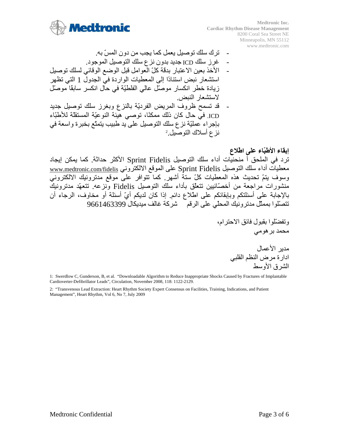

- تر ك سلك توصيل يعمل كما يجب من دون المسّ به.
- غرز سلك ICD جديد بدون نزع سلك التوصيل الموجود.
- الأخذ بعين الاعتبار بدقّة كلّ الّعوامل قبل الوضع الوقائي لسلك توصيل استشعار نبض استنادًا إلى المعطيات الواردة في الجدول 1 التي تظهر زيادة خطر انكسار موصّل عالي الفلطيّة في حال انكسر سابقًا موصّل لاستشعار النبض.
- قد تسمح ظروف المريض الفرديّة بالنزع وبغرز سلك توصيل جديد ICD. في حال كان ذلك ممكنًا، توصبي هيئة النوعيّة المستقلّة للأطبّاء بإجراء عمليّة نزع سلك التوصيل على يد طبيب يتمتّع بخبرة واسعة في 2 نزع أسلاك التوصيل.

**إبقاء الأطبّاء على اطّلاع** 

ترد في الملحق أ منحنيات أداء سلك التوصيل Sprint Fidelis الأكثر حداثة. كما يمكن إيجاد معطيات أداء سلك التوصيل Sprint Fidelis على الموقع الالكتروني www.medtronic.com/fidelis وسوف يتمّ تحديث هذه المعطيات كلّ ستةً أشهر. كما تتوافر على موقع مدترونيك الالكتروني منشورات مراجعة من أخصّائيين تتعلّق بأداء سلك التوصيل Fidelis ونزعه. تتعهّد مدترونيك بالإجابة على أسئلتكم وبإبقائكم على اطّلاع دائم. إذا كان لديكم أيّ أسئلة أو مخاوف، الرجاء أن تتصّلوا بممثّل مدترونيك المحلّي على الرقم شرآة غالف ميديكال 9661463399

> وتفضّلوا بقبول فائق الاحترام، محمد برهومي

> > مدير الأعمال ادارة مرض النظم القلبي الشرق الأوسط

1: Swerdlow C, Gunderson, B, et al. "Downloadable Algorithm to Reduce Inappropriate Shocks Caused by Fractures of Implantable Cardioverter-Defibrillator Leads", Circulation, November 2008, 118: 1122-2129.

2: "Transvenous Lead Extraction: Heart Rhythm Society Expert Consensus on Facilities, Training, Indications, and Patient Management", Heart Rhythm, Vol 6, No 7, July 2009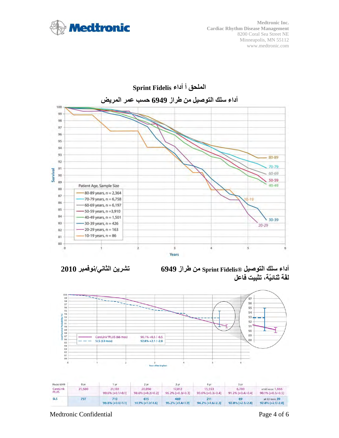

Medtronic Inc.<br>Cardiac Rhythm Disease Management  **Cardiac Rhythm Disease Management**  8200 Coral Sea Street NE Minneapolis, MN 55112 www.medtronic.com



**أداء سلك التوصيل RFidelis Sprint من طراز 6949 تشرين الثاني /نوفمبر 2010 لفّة ثنائيّة، تثبيت فاعل**



| Model 6949      | 0 <sub>yr</sub> | 1 vr                 | 2vr                  | 3 yr                 | 4 yr                 | 5 vr                 |                        |
|-----------------|-----------------|----------------------|----------------------|----------------------|----------------------|----------------------|------------------------|
| <b>CareLink</b> | 21,500          | 21.181               | 20,050               | 17.812               | 15,553               | 6.780                | at 66 mos: 1,866       |
| <b>PLUS</b>     |                 | 99.6% [+0.1/-0.1]    | 98.6% [+0.2/-0.2]    | $96.2\%$ [+0.3/-0.3] | $93.6\%$ [+0.3/-0.4] | $91.2\%$ [+0.4/-0.4] | $90.1\%$ $[+0.5/-0.5]$ |
| <b>SLS</b>      | 797             | 710                  | 615                  | 469                  | 211                  | 69                   | at 63 mos: 39          |
|                 | .               | $98.8\%$ [+0.6/-1.1] | $97.1\%$ [+1.0/-1.6] | $95.2\%$ [+1.4/-1.9] | $94.2\%$ [+1.6/-2.3] | $92.8\%$ [+2.1/-2.8] | $92.8\% + 2.1/- 2.8$   |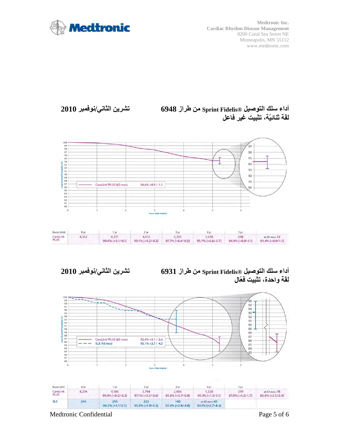

Medtronic Inc.<br>Cardiac Rhythm Disease Management  **Cardiac Rhythm Disease Management**  8200 Coral Sea Street NE Minneapolis, MN 55112 www.medtronic.com

**أداء سلك التوصيل RFidelis Sprint من طراز 6948 تشرين الثاني /نوفمبر 2010 لفّة ثنائيّة، تثبيت غير فاعل**



**أداء سلك التوصيل RFidelis Sprint من طراز 6931 تشرين الثاني /نوفمبر 2010 لفّة واحدة، تثبيت فعّال**



| Model 6931              | 0 yr       | I VF                          | 2 yr                          | 3 yr                          | 4 <sub>vr</sub>                       | 5 yr                        |                                         |
|-------------------------|------------|-------------------------------|-------------------------------|-------------------------------|---------------------------------------|-----------------------------|-----------------------------------------|
| CareLink<br><b>PLUS</b> | 4,274      | 4.105<br>$99.4\%$ [+0.2/-0.3] | 3,794<br>$97.1\%$ [+0.5/-0.6] | 2.906<br>$93.8\%$ [+0.7/-0.8] | 1,328<br>$90.3\%$ [+1.0/-1.1]         | 219<br>$87.0\%$ [+1.5/-1.7] | at 63 mos: 78<br>$85.4\%$ $[+2.1/-2.4]$ |
| <b>SLS</b>              | 294<br>. . | 259<br>$98.2\%$ [+1.1/-2.5]   | 222<br>$95.8\%$ [+1.9/-3.2]   | 140<br>$93.8\%$ $[+2.4/-4.0]$ | at 45 mos: 42<br>$93.1\%$ [+2.7/-4.3] |                             |                                         |

Medtronic Confidential Page 5 of 6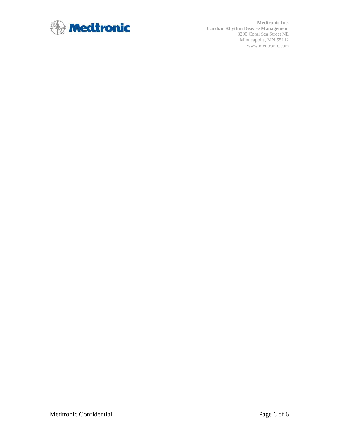

**Medtronic Inc.**<br>Cardiac Rhythm Disease Management  **Cardiac Rhythm Disease Management**  8200 Coral Sea Street NE Minneapolis, MN 55112 www.medtronic.com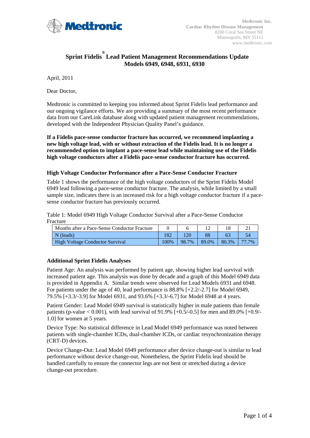

# **Sprint Fidelis ® Lead Patient Management Recommendations Update Models 6949, 6948, 6931, 6930**

April, 2011

Dear Doctor,

Medtronic is committed to keeping you informed about Sprint Fidelis lead performance and our ongoing vigilance efforts. We are providing a summary of the most recent performance data from our CareLink database along with updated patient management recommendations, developed with the Independent Physician Quality Panel's guidance.

**If a Fidelis pace-sense conductor fracture has occurred, we recommend implanting a new high voltage lead, with or without extraction of the Fidelis lead. It is no longer a recommended option to implant a pace-sense lead while maintaining use of the Fidelis high voltage conductors after a Fidelis pace-sense conductor fracture has occurred.** 

### **High Voltage Conductor Performance after a Pace-Sense Conductor Fracture**

Table 1 shows the performance of the high voltage conductors of the Sprint Fidelis Model 6949 lead following a pace-sense conductor fracture. The analysis, while limited by a small sample size, indicates there is an increased risk for a high voltage conductor fracture if a pacesense conductor fracture has previously occurred.

Table 1: Model 6949 High Voltage Conductor Survival after a Pace-Sense Conductor Fracture

| Months after a Pace-Sense Conductor Fracture |       |       |       |       |       |
|----------------------------------------------|-------|-------|-------|-------|-------|
| N (leads)                                    |       |       | 88    |       |       |
| High Voltage Conductor Survival              | 100\% | 98.7% | 89.0% | 80.3% | 77.7% |

### **Additional Sprint Fidelis Analyses**

Patient Age: An analysis was performed by patient age, showing higher lead survival with increased patient age. This analysis was done by decade and a graph of this Model 6949 data is provided in Appendix A. Similar trends were observed for Lead Models 6931 and 6948. For patients under the age of 40, lead performance is 88.8% [+2.2/-2.7] for Model 6949, 79.5% [+3.3/-3.9] for Model 6931, and 93.6% [+3.3/-6.7] for Model 6948 at 4 years.

Patient Gender: Lead Model 6949 survival is statistically higher in male patients than female patients (p-value  $< 0.001$ ), with lead survival of 91.9% [+0.5/-0.5] for men and 89.0% [+0.9/-1.0] for women at 5 years.

Device Type: No statistical difference in Lead Model 6949 performance was noted between patients with single-chamber ICDs, dual-chamber ICDs, or cardiac resynchronization therapy (CRT-D) devices.

Device Change-Out: Lead Model 6949 performance after device change-out is similar to lead performance without device change-out. Nonetheless, the Sprint Fidelis lead should be handled carefully to ensure the connector legs are not bent or stretched during a device change-out procedure.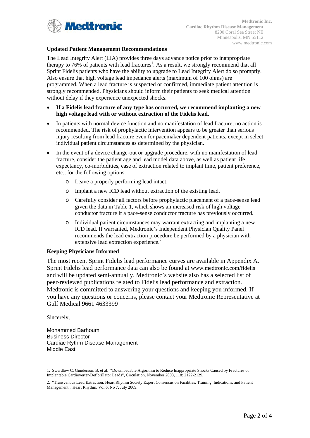

### **Updated Patient Management Recommendations**

The Lead Integrity Alert (LIA) provides three days advance notice prior to inappropriate therapy to  $76\%$  of patients with lead fractures<sup>1</sup>. As a result, we strongly recommend that all Sprint Fidelis patients who have the ability to upgrade to Lead Integrity Alert do so promptly. Also ensure that high voltage lead impedance alerts (maximum of 100 ohms) are programmed. When a lead fracture is suspected or confirmed, immediate patient attention is strongly recommended. Physicians should inform their patients to seek medical attention without delay if they experience unexpected shocks.

- **If a Fidelis lead fracture of any type has occurred, we recommend implanting a new high voltage lead with or without extraction of the Fidelis lead.**
- In patients with normal device function and no manifestation of lead fracture, no action is recommended. The risk of prophylactic intervention appears to be greater than serious injury resulting from lead fracture even for pacemaker dependent patients, except in select individual patient circumstances as determined by the physician.
- In the event of a device change-out or upgrade procedure, with no manifestation of lead fracture, consider the patient age and lead model data above, as well as patient life expectancy, co-morbidities, ease of extraction related to implant time, patient preference, etc., for the following options:
	- o Leave a properly performing lead intact.
	- o Implant a new ICD lead without extraction of the existing lead.
	- o Carefully consider all factors before prophylactic placement of a pace-sense lead given the data in Table 1, which shows an increased risk of high voltage conductor fracture if a pace-sense conductor fracture has previously occurred.
	- o Individual patient circumstances may warrant extracting and implanting a new ICD lead. If warranted, Medtronic's Independent Physician Quality Panel recommends the lead extraction procedure be performed by a physician with extensive lead extraction experience.<sup>2</sup>

#### **Keeping Physicians Informed**

The most recent Sprint Fidelis lead performance curves are available in Appendix A. Sprint Fidelis lead performance data can also be found at [www.medtronic.com/fidelis](http://www.medtronic.com/fidelis) and will be updated semi-annually. Medtronic's website also has a selected list of peer-reviewed publications related to Fidelis lead performance and extraction. Medtronic is committed to answering your questions and keeping you informed. If you have any questions or concerns, please contact your Medtronic Representative at Gulf Medical 9661 4633399

Sincerely,

Mohammed Barhoumi Business Director Cardiac Rythm Disease Management Middle East

1: Swerdlow C, Gunderson, B, et al. "Downloadable Algorithm to Reduce Inappropriate Shocks Caused by Fractures of Implantable Cardioverter-Defibrillator Leads", Circulation, November 2008, 118: 2122-2129.

<sup>2: &</sup>quot;Transvenous Lead Extraction: Heart Rhythm Society Expert Consensus on Facilities, Training, Indications, and Patient Management", Heart Rhythm, Vol 6, No 7, July 2009.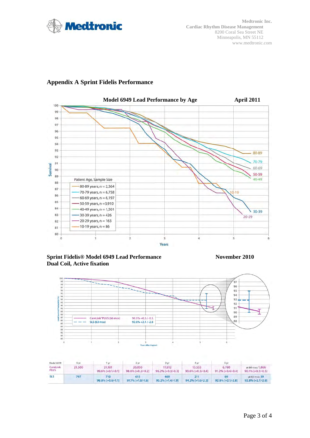



## **Appendix A Sprint Fidelis Performance**

**Sprint Fidelis® Model 6949 Lead Performance November 2010 Dual Coil, Active fixation** 



| <b>SLS</b>              | 797             | 99.6% [+0.1/-0.1]<br>710 | $98.6\%$ $[+0.2/-0.2]$<br>615 | $96.2\%$ [+0.3/-0.3]<br>469 | $93.6\%$ [+0.3/-0.4]<br>211 | $91.2\%$ [+0.4/-0.4] | $90.1\%$ $[+0.5/-0.5]$<br>at 63 mos: 39 |
|-------------------------|-----------------|--------------------------|-------------------------------|-----------------------------|-----------------------------|----------------------|-----------------------------------------|
| CareLink<br><b>PLUS</b> | 21,500          | 21.181                   | 20,050                        | 17,812                      | 15,553                      | 6.780                | at 66 mos: 1,866                        |
| Model 6949              | 0 <sub>yr</sub> | I VT                     | 2yr                           | 3 yr                        | 4 yr                        | 5 yr                 |                                         |